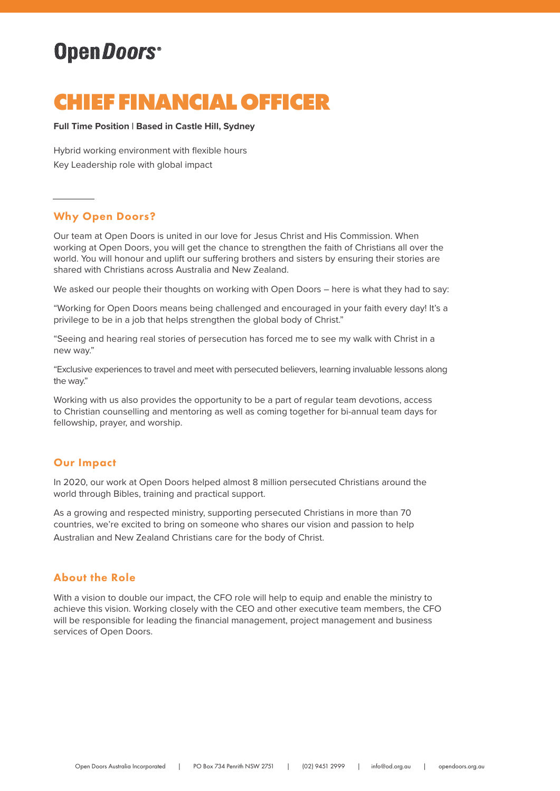# OpenDoors<sup>®</sup>

## **CHIEF FINANCIAL OFFICER**

#### **Full Time Position | Based in Castle Hill, Sydney**

Hybrid working environment with flexible hours Key Leadership role with global impact

## Why Open Doors?

Our team at Open Doors is united in our love for Jesus Christ and His Commission. When working at Open Doors, you will get the chance to strengthen the faith of Christians all over the world. You will honour and uplift our suffering brothers and sisters by ensuring their stories are shared with Christians across Australia and New Zealand.

We asked our people their thoughts on working with Open Doors – here is what they had to say:

"Working for Open Doors means being challenged and encouraged in your faith every day! It's a privilege to be in a job that helps strengthen the global body of Christ."

"Seeing and hearing real stories of persecution has forced me to see my walk with Christ in a new way."

"Exclusive experiences to travel and meet with persecuted believers, learning invaluable lessons along the way."

Working with us also provides the opportunity to be a part of regular team devotions, access to Christian counselling and mentoring as well as coming together for bi-annual team days for fellowship, prayer, and worship.

## Our Impact

In 2020, our work at Open Doors helped almost 8 million persecuted Christians around the world through Bibles, training and practical support.

As a growing and respected ministry, supporting persecuted Christians in more than 70 countries, we're excited to bring on someone who shares our vision and passion to help Australian and New Zealand Christians care for the body of Christ.

## About the Role

With a vision to double our impact, the CFO role will help to equip and enable the ministry to achieve this vision. Working closely with the CEO and other executive team members, the CFO will be responsible for leading the financial management, project management and business services of Open Doors.